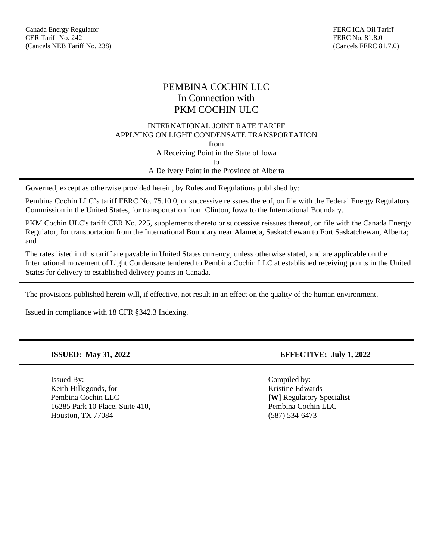# PEMBINA COCHIN LLC In Connection with PKM COCHIN ULC

### INTERNATIONAL JOINT RATE TARIFF APPLYING ON LIGHT CONDENSATE TRANSPORTATION from A Receiving Point in the State of Iowa to A Delivery Point in the Province of Alberta

Governed, except as otherwise provided herein, by Rules and Regulations published by:

Pembina Cochin LLC's tariff FERC No. 75.10.0, or successive reissues thereof, on file with the Federal Energy Regulatory Commission in the United States, for transportation from Clinton, Iowa to the International Boundary.

PKM Cochin ULC's tariff CER No. 225, supplements thereto or successive reissues thereof, on file with the Canada Energy Regulator, for transportation from the International Boundary near Alameda, Saskatchewan to Fort Saskatchewan, Alberta; and

The rates listed in this tariff are payable in United States currency, unless otherwise stated, and are applicable on the International movement of Light Condensate tendered to Pembina Cochin LLC at established receiving points in the United States for delivery to established delivery points in Canada.

The provisions published herein will, if effective, not result in an effect on the quality of the human environment.

Issued in compliance with 18 CFR §342.3 Indexing.

Issued By: Compiled by: Keith Hillegonds, for **Kristine Edwards** Kristine Edwards **Pembina Cochin LLC** *COLLEC* **EXECUTE:** *PERDITE: <b>EXECUTE: EXECUTE: EXECUTE: EXECUTE: EXECUTE: EXECUTE: EXECUTE: EXECUTE: EXECUTE: EXECUTE: EXECUTE: EXECUTE: EXECUTE: EXECUTE: EXECUTE: EX* 16285 Park 10 Place, Suite 410, Pembina Cochin LLC Houston, TX 77084 (587) 534-6473

**ISSUED: May 31, 2022 EFFECTIVE: July 1, 2022**